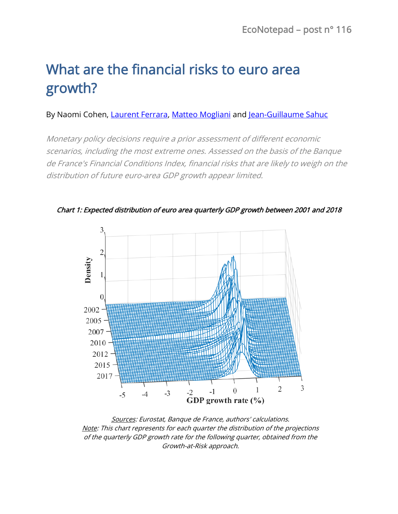# What are the financial risks to euro area growth?

## By Naomi Cohen, [Laurent Ferrara,](https://www.banque-france.fr/en/economics/economists-and-researchers/laurent-ferrara) [Matteo Mogliani](https://www.banque-france.fr/en/economics/economists-and-researchers/matteo-mogliani) and [Jean-Guillaume Sahuc](https://www.banque-france.fr/en/economics/economists-and-researchers/jean-guillaume-sahuc)

Monetary policy decisions require a prior assessment of different economic scenarios, including the most extreme ones. Assessed on the basis of the Banque de France's Financial Conditions Index, financial risks that are likely to weigh on the distribution of future euro-area GDP growth appear limited.



Chart 1: Expected distribution of euro area quarterly GDP growth between 2001 and 2018

Sources: Eurostat, Banque de France, authors' calculations. Note: This chart represents for each quarter the distribution of the projections of the quarterly GDP growth rate for the following quarter, obtained from the Growth-at-Risk approach.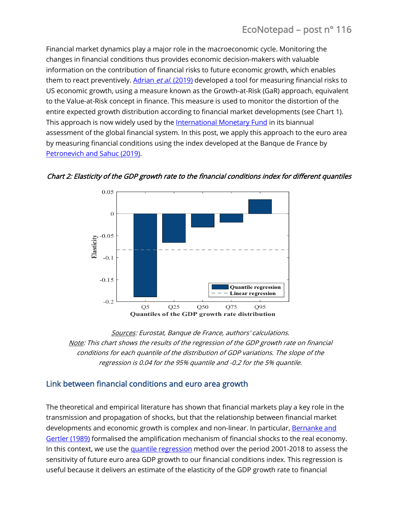Financial market dynamics play a major role in the macroeconomic cycle. Monitoring the changes in financial conditions thus provides economic decision-makers with valuable information on the contribution of financial risks to future economic growth, which enables them to react preventively. [Adrian](https://www.aeaweb.org/articles?id=10.1257/aer.20161923&&from=f) et al. (2019) developed a tool for measuring financial risks to US economic growth, using a measure known as the Growth-at-Risk (GaR) approach, equivalent to the Value-at-Risk concept in finance. This measure is used to monitor the distortion of the entire expected growth distribution according to financial market developments (see Chart 1). This approach is now widely used by th[e International Monetary Fund](https://www.imf.org/en/Publications/GFSR/Issues/2017/09/27/global-financial-stability-report-october-2017) in its biannual assessment of the global financial system. In this post, we apply this approach to the euro area by measuring financial conditions using the index developed at the Banque de France by [Petronevich and](https://blocnotesdeleco.banque-france.fr/en/blog-entry/alternative-financial-conditions-index-euro-area) Sahuc (2019).



Chart 2: Elasticity of the GDP growth rate to the financial conditions index for different quantiles

Sources: Eurostat, Banque de France, authors' calculations. Note: This chart shows the results of the regression of the GDP growth rate on financial conditions for each quantile of the distribution of GDP variations. The slope of the regression is 0.04 for the 95% quantile and -0.2 for the 5% quantile.

## Link between financial conditions and euro area growth

The theoretical and empirical literature has shown that financial markets play a key role in the transmission and propagation of shocks, but that the relationship between financial market developments and economic growth is complex and non-linear. In particular, [Bernanke and](https://www.jstor.org/stable/1804770?seq=1#page_scan_tab_contents) [Gertler \(1989\)](https://www.jstor.org/stable/1804770?seq=1#page_scan_tab_contents) formalised the amplification mechanism of financial shocks to the real economy. In this context, we use the *quantile regression* method over the period 2001-2018 to assess the sensitivity of future euro area GDP growth to our financial conditions index. This regression is useful because it delivers an estimate of the elasticity of the GDP growth rate to financial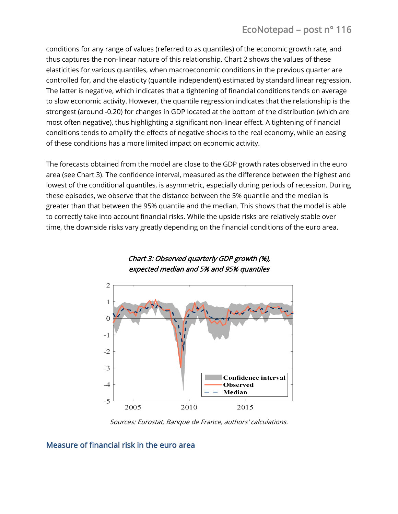# EcoNotepad – post n° 116

conditions for any range of values (referred to as quantiles) of the economic growth rate, and thus captures the non-linear nature of this relationship. Chart 2 shows the values of these elasticities for various quantiles, when macroeconomic conditions in the previous quarter are controlled for, and the elasticity (quantile independent) estimated by standard linear regression. The latter is negative, which indicates that a tightening of financial conditions tends on average to slow economic activity. However, the quantile regression indicates that the relationship is the strongest (around -0.20) for changes in GDP located at the bottom of the distribution (which are most often negative), thus highlighting a significant non-linear effect. A tightening of financial conditions tends to amplify the effects of negative shocks to the real economy, while an easing of these conditions has a more limited impact on economic activity.

The forecasts obtained from the model are close to the GDP growth rates observed in the euro area (see Chart 3). The confidence interval, measured as the difference between the highest and lowest of the conditional quantiles, is asymmetric, especially during periods of recession. During these episodes, we observe that the distance between the 5% quantile and the median is greater than that between the 95% quantile and the median. This shows that the model is able to correctly take into account financial risks. While the upside risks are relatively stable over time, the downside risks vary greatly depending on the financial conditions of the euro area.



#### Chart 3: Observed quarterly GDP growth (%), expected median and 5% and 95% quantiles

Sources: Eurostat, Banque de France, authors' calculations.

## Measure of financial risk in the euro area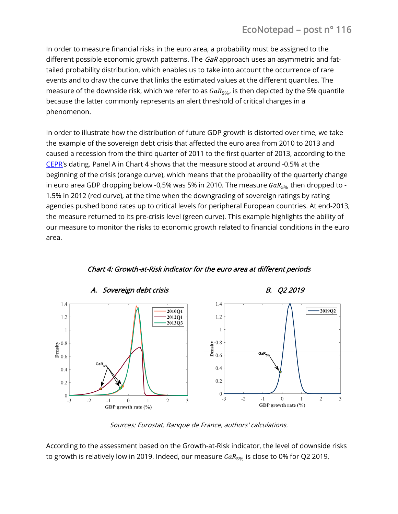# EcoNotepad – post n° 116

In order to measure financial risks in the euro area, a probability must be assigned to the different possible economic growth patterns. The GaR approach uses an asymmetric and fattailed probability distribution, which enables us to take into account the occurrence of rare events and to draw the curve that links the estimated values at the different quantiles. The measure of the downside risk, which we refer to as  $GaR_{5\%}$ , is then depicted by the 5% quantile because the latter commonly represents an alert threshold of critical changes in a phenomenon.

In order to illustrate how the distribution of future GDP growth is distorted over time, we take the example of the sovereign debt crisis that affected the euro area from 2010 to 2013 and caused a recession from the third quarter of 2011 to the first quarter of 2013, according to the [CEPR](https://cepr.org/content/euro-area-business-cycle-dating-committee)'s dating. Panel A in Chart 4 shows that the measure stood at around -0.5% at the beginning of the crisis (orange curve), which means that the probability of the quarterly change in euro area GDP dropping below -0,5% was 5% in 2010. The measure  $GaR_{5%}$  then dropped to -1.5% in 2012 (red curve), at the time when the downgrading of sovereign ratings by rating agencies pushed bond rates up to critical levels for peripheral European countries. At end-2013, the measure returned to its pre-crisis level (green curve). This example highlights the ability of our measure to monitor the risks to economic growth related to financial conditions in the euro area.



# Chart 4: Growth-at-Risk indicator for the euro area at different periods

Sources: Eurostat, Banque de France, authors' calculations.

According to the assessment based on the Growth-at-Risk indicator, the level of downside risks to growth is relatively low in 2019. Indeed, our measure  $GaR_{5%}$  is close to 0% for Q2 2019,